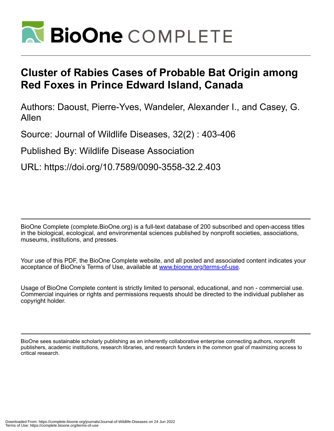

## **Cluster of Rabies Cases of Probable Bat Origin among Red Foxes in Prince Edward Island, Canada**

Authors: Daoust, Pierre-Yves, Wandeler, Alexander I., and Casey, G. Allen

Source: Journal of Wildlife Diseases, 32(2) : 403-406

Published By: Wildlife Disease Association

URL: https://doi.org/10.7589/0090-3558-32.2.403

BioOne Complete (complete.BioOne.org) is a full-text database of 200 subscribed and open-access titles in the biological, ecological, and environmental sciences published by nonprofit societies, associations, museums, institutions, and presses.

Your use of this PDF, the BioOne Complete website, and all posted and associated content indicates your acceptance of BioOne's Terms of Use, available at www.bioone.org/terms-of-use.

Usage of BioOne Complete content is strictly limited to personal, educational, and non - commercial use. Commercial inquiries or rights and permissions requests should be directed to the individual publisher as copyright holder.

BioOne sees sustainable scholarly publishing as an inherently collaborative enterprise connecting authors, nonprofit publishers, academic institutions, research libraries, and research funders in the common goal of maximizing access to critical research.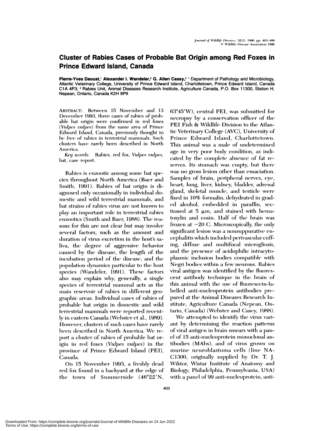## **Cluster of Rabies Cases of Probable Bat Origin among Red Foxes in Prince Edward Island, Canada**

Pierre-Yves Daoust,<sup>1</sup> Alexander I. Wandeler,<sup>2</sup> G. Allen Casey,<sup>2</sup> 1 Department of Pathology and Microbiology, Atlantic Veterinary College, University of Prince Edward Island, Charlottetown, Prince Edward Island, Canada C1A 4P3; <sup>2</sup> Rabies Unit, Animal Diseases Research Institute, Agriculture Canada, P.O. Box 11300, Station H, Nepean, Ontario, Canada K2H 8P9

ABSTRACT: Between 15 November and 13 December 1993, three cases of rabies of probable bat origin were confirmed in red foxes (Vulpes vulpes) from the same area of Prince Edward Island, Canada, previously thought to be free of rabies in terrestrial mammals. Such clusters have rarely been described in North America.

Key words: Rabies, red fox, Vulpes vulpes, bat, case report.

Rabies is enzootic among some bat species throughout North America (Baer and Smith, 1991). Rabies of bat origin is diagnosed only occasionally in individual domestic and wild terrestrial mammals, and bat strains of rabies virus are not known to play an important role in terrestrial rabies enzootics (Smith and Baer, 1988). The reasons for this are not clear but may involve several factors, such as the amount and duration of virus excretion in the host's saliva, the degree of aggressive behavior caused by the disease, the length of the incubation period of the disease, and the population dynamics particular to the host species (Wandeler, 1991). These factors also may explain why, generally, a single species of terrestrial mammal acts as the main reservoir of rabies in different geographic areas. Individual cases of rabies of probable bat origin in domestic and wild terrestrial mammals were reported recently in eastern Canada (Webster et al., 1989). However, clusters of such cases have rarely been described in North America. We report a cluster of rabies of probable bat origin in red foxes (Vulpes vulpes) in the province of Prince Edward Island (PEI), Canada.

On 15 November 1993, a freshly dead red fox found in a backyard at the edge of the town of Summerside (46°22'N,

63°45′W), central PEI, was submitted for necropsy by a conservation officer of the PEI Fish & Wildlife Division to the Atlantic Veterinary College (AVC), University of Prince Edward Island, Charlottetown. This animal was a male of undetermined age in very poor body condition, as indicated by the complete absence of fat reserves. Its stomach was empty, but there was no gross lesion other than emaciation. Samples of brain, peripheral nerves, eye, heart, lung, liver, kidney, bladder, adrenal gland, skeletal muscle, and testicle were fixed in 10% formalin, dehydrated in graded alcohol, embedded in paraffin, sectioned at 5  $\mu$ m, and stained with hematoxylin and eosin. Half of the brain was frozen at  $-20$  C. Microscopically, the only significant lesion was a nonsuppurative encephalitis which included perivascular cuffing, diffuse and multifocal microgliosis, and the presence of acidophilic intracytoplasmic inclusion bodies compatible with Negri bodies within a few neurons. Rabies viral antigen was identified by the fluorescent antibody technique in the brain of this animal with the use of fluorescein-labelled anti-nucleoprotein antibodies prepared at the Animal Diseases Research Institute, Agriculture Canada (Nepean, Ontario, Canada) (Webster and Casey, 1988).

We attempted to identify the virus variant by determining the reaction patterns of viral antigen in brain smears with a panel of 15 anti-nucleoprotein monoclonal antibodies (MAbs), and of virus grown on murine neuroblastoma cells (line NA-C1300, originally supplied by Dr. T. J. Wiktor, Wistar Institute of Anatomy and Biology, Philadelphia, Pennsylvania, USA) with a panel of 99 anti-nucleoprotein, anti-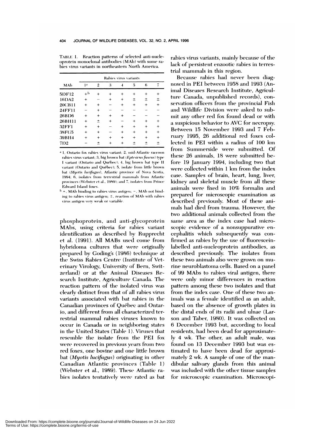TABLE 1. Reaction patterns of selected anti-nucleoprotein monoclonal antibodies (MAb) with some rabies virus variants in northeastern North America.

|        |           | Rabies virus variants |           |           |                |           |           |  |
|--------|-----------|-----------------------|-----------|-----------|----------------|-----------|-----------|--|
| MAb    | 1ª        | $\overline{2}$        | 3         | 4         | $\overline{5}$ | 6         |           |  |
| 51DF12 | $+b$      | $\ddot{}$             | $\ddot{}$ | $\ddot{}$ | $\ddot{}$      | $\ddot{}$ | $\ddot{}$ |  |
| 16DA2  | $+$       |                       | $\ddot{}$ | $\ddot{}$ | $\pm$          | 土         | $\pm$     |  |
| 20CB11 | $+$       | $\ddot{}$             |           | $\ddot{}$ | $+$            | $^{+}$    | $+$       |  |
| 24FF11 |           | $+$                   |           |           |                |           |           |  |
| 26BD6  | $\pmb{+}$ | $\ddot{}$             | $\ddot{}$ | $\ddot{}$ |                |           |           |  |
| 26BH11 | $\ddot{}$ | 土                     | $\ddot{}$ |           | $\ddot{}$      | $\ddot{}$ | $\ddot{}$ |  |
| 32FF1  | $+$       | $\ddot{}$             |           | $+$       | $+$            | $\ddot{}$ | $+$       |  |
| 38FG5  | $\ddot{}$ | $\ddot{}$             |           | $\ddot{}$ | $\ddot{}$      | $^{+}$    | $+$       |  |
| 39BH4  | $\ddot{}$ | $\ddot{}$             | $\ddot{}$ | $\ddot{}$ | $^{+}$         | $^{+}$    | $+$       |  |
| 71)2   |           | +                     | $\ddot{}$ |           | ±              | 土         | $\,{}^+$  |  |

<sup>a</sup> 1. Ontario fox rabies virus variant; 2, mid-Atlantic raccoon rabies virus variant; 3, big brown bat (Eptesicus fuscus) type I variant (Ontario and Québec); 4, big brown bat type II variant (Ontario and Québec); 5, isolate from little brown bat (Myotis lucifugus), Atlantic province of Nova Scotia, 1994; 6, isolates from terrestrial mammals from Atlantic provinces (Webster et al., 1989); and 7, isolates from Prince Edward Island foxes.

 $b +$ , MAb binding to rabies virus antigen;  $-$ , MAb not binding to rabies virus antigen; ±, reaction of MAb with rabies virus antigen very weak or variable.

phosphoprotein, and anti-glycoprotein MAbs, using criteria for rabies variant identification as described by Rupprecht et al. (1991). All MABs used come from hybridoma cultures that were originally prepared by Goding's (1986) technique at the Swiss Rabies Centre (Institute of Veterinary Virology, University of Bern, Switzerland) or at the Animal Diseases Research Institute, Agriculture Canada. The reaction pattern of the isolated virus was clearly distinct from that of all rabies virus variants associated with bat rabies in the Canadian provinces of Québec and Ontario, and different from all characterized terrestrial mammal rabies viruses known to occur in Canada or in neighboring states in the United States (Table 1). Viruses that resemble the isolate from the PEI fox were recovered in previous years from two red foxes, one bovine and one little brown bat (*Myotis lucifugus*) originating in other Canadian Atlantic provinces (Table 1) (Webster et al., 1989). These Atlantic rabies isolates tentatively were rated as bat rabies virus variants, mainly because of the lack of persistent enzootic rabies in terrestrial mammals in this region.

Because rabies had never been diagnosed in PEI between 1958 and 1993 (Animal Diseases Research Institute, Agriculture Canada, unpublished records), conservation officers from the provincial Fish and Wildlife Division were asked to submit any other red fox found dead or with a suspicious behavior to AVC for necropsy. Between 15 November 1993 and 7 February 1995, 26 additional red foxes collected in PEI within a radius of 100 km from Summerside were submitted. Of these 26 animals, 18 were submitted before 19 January 1994, including two that were collected within 1 km from the index case. Samples of brain, heart, lung, liver, kidney and skeletal muscle from all these animals were fixed in 10% formalin and prepared for microscopic examination as described previously. Most of these animals had died from trauma. However, the two additional animals collected from the same area as the index case had microscopic evidence of a nonsuppurative encephalitis which subsequently was confirmed as rabies by the use of fluoresceinlabelled anti-nucleoprotein antibodies, as described previously. The isolates from these two animals also were grown on murine neuroblastoma cells. Based on a panel of 99 MAbs to rabies viral antigen, there were only minor differences in reaction pattern among these two isolates and that from the index case. One of these two animals was a female identified as an adult, based on the absence of growth plates in the distal ends of its radii and ulnae (Larson and Taber, 1980). It was collected on 6 December 1993 but, according to local residents, had been dead for approximately 4 wk. The other, an adult male, was found on 13 December 1993 but was estimated to have been dead for approximately 2 wk. A sample of one of the mandibular salivary glands from this animal was included with the other tissue samples for microscopic examination. Microscopi-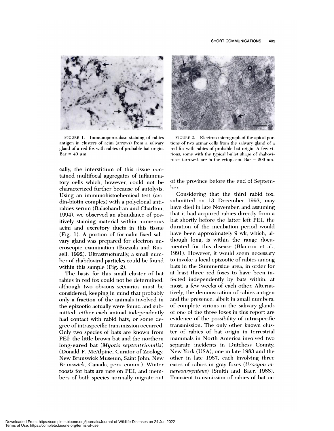

FIGURE 1. Immunoperoxidase staining of rabies antigen in clusters of acini (arrows) from a salivary gland of a red fox with rabies of probable bat origin.  $Bar = 40$  um.

cally, the interstitium of this tissue contained multifocal aggregates of inflammatory cells which, however, could not be characterized further because of autolysis. Using an immunohistochemical test (avidin-biotin complex) with a polyclonal antirabies serum (Balachandran and Charlton, 1994), we observed an abundance of positively staining material within numerous acini and excretory ducts in this tissue (Fig. 1). A portion of formalin-fixed salivary gland was prepared for electron microscopic examination (Bozzola and Russell, 1992). Ultrastructurally, a small number of rhabdoviral particles could be found within this sample  $(Fig. 2)$ .

The basis for this small cluster of bat rabies in red fox could not be determined, although two obvious scenarios must be considered, keeping in mind that probably only a fraction of the animals involved in the epizootic actually were found and submitted: either each animal independently had contact with rabid bats, or some degree of intraspecific transmission occurred. Only two species of bats are known from PEI: the little brown bat and the northern long-eared bat (Myotis septentrionalis) (Donald F. McAlpine, Curator of Zoology, New Brunswick Museum, Saint John, New Brunswick, Canada, pers. comm.). Winter roosts for bats are rare on PEI, and members of both species normally migrate out



FIGURE 2. Electron micrograph of the apical portions of two acinar cells from the salivary gland of a red fox with rabies of probable bat origin. A few virions, some with the typical bullet shape of rhaboviruses (arrows), are in the cytoplasm. Bar =  $200$  nm.

of the province before the end of September.

Considering that the third rabid fox, submitted on 13 December 1993, may have died in late November, and assuming that it had acquired rabies directly from a bat shortly before the latter left PEI, the duration of the incubation period would have been approximately 9 wk, which, although long, is within the range documented for this disease (Blancou et al., 1991). However, it would seem necessary to invoke a local epizootic of rabies among bats in the Summerside area, in order for at least three red foxes to have been infected independently by bats within, at most, a few weeks of each other. Alternatively, the demonstration of rabies antigen and the presence, albeit in small numbers, of complete virions in the salivary glands of one of the three foxes in this report are evidence of the possibility of intraspecific transmission. The only other known cluster of rabies of bat origin in terrestrial mammals in North America involved two separate incidents in Dutchess County, New York (USA), one in late 1983 and the other in late 1987, each involving three cases of rabies in gray foxes (Urocyon cinereoargenteus) (Smith and Baer, 1988). Transient transmission of rabies of bat or